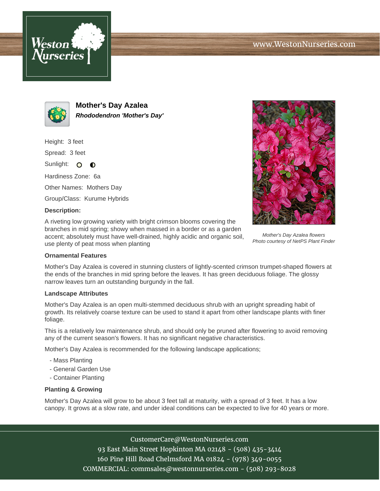



**Mother's Day Azalea Rhododendron 'Mother's Day'**

Height: 3 feet

Spread: 3 feet

Sunlight: O  $\bullet$ 

Hardiness Zone: 6a

Other Names: Mothers Day

Group/Class: Kurume Hybrids

## **Description:**

A riveting low growing variety with bright crimson blooms covering the branches in mid spring; showy when massed in a border or as a garden accent; absolutely must have well-drained, highly acidic and organic soil, use plenty of peat moss when planting



Mother's Day Azalea flowers Photo courtesy of NetPS Plant Finder

## **Ornamental Features**

Mother's Day Azalea is covered in stunning clusters of lightly-scented crimson trumpet-shaped flowers at the ends of the branches in mid spring before the leaves. It has green deciduous foliage. The glossy narrow leaves turn an outstanding burgundy in the fall.

## **Landscape Attributes**

Mother's Day Azalea is an open multi-stemmed deciduous shrub with an upright spreading habit of growth. Its relatively coarse texture can be used to stand it apart from other landscape plants with finer foliage.

This is a relatively low maintenance shrub, and should only be pruned after flowering to avoid removing any of the current season's flowers. It has no significant negative characteristics.

Mother's Day Azalea is recommended for the following landscape applications;

- Mass Planting
- General Garden Use
- Container Planting

## **Planting & Growing**

Mother's Day Azalea will grow to be about 3 feet tall at maturity, with a spread of 3 feet. It has a low canopy. It grows at a slow rate, and under ideal conditions can be expected to live for 40 years or more.

CustomerCare@WestonNurseries.com

93 East Main Street Hopkinton MA 02148 - (508) 435-3414 160 Pine Hill Road Chelmsford MA 01824 - (978) 349-0055 COMMERCIAL: commsales@westonnurseries.com - (508) 293-8028